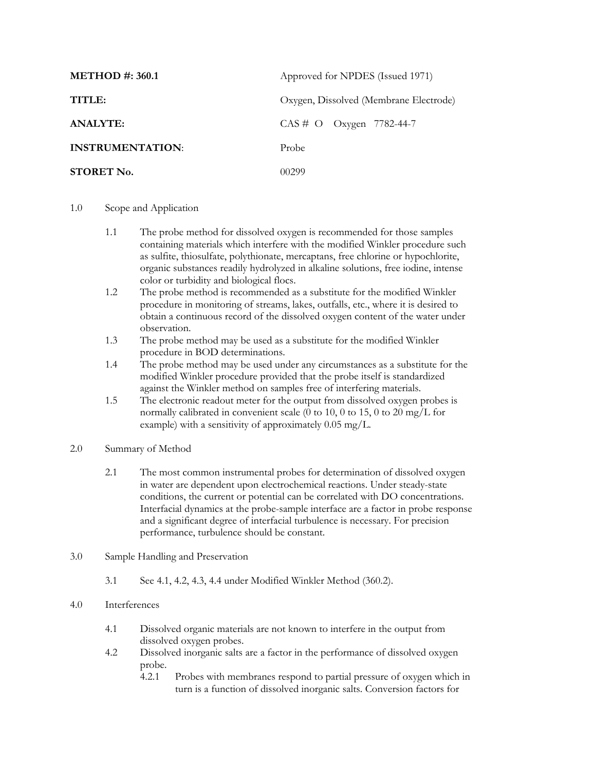| <b>METHOD #: 360.1</b>  | Approved for NPDES (Issued 1971)       |
|-------------------------|----------------------------------------|
| TITLE:                  | Oxygen, Dissolved (Membrane Electrode) |
| <b>ANALYTE:</b>         | $CAS \# O$ Oxygen 7782-44-7            |
| <b>INSTRUMENTATION:</b> | Probe                                  |
| <b>STORET No.</b>       | 00299                                  |

## 1.0 Scope and Application

- 1.1 The probe method for dissolved oxygen is recommended for those samples containing materials which interfere with the modified Winkler procedure such as sulfite, thiosulfate, polythionate, mercaptans, free chlorine or hypochlorite, organic substances readily hydrolyzed in alkaline solutions, free iodine, intense color or turbidity and biological flocs.
- 1.2 The probe method is recommended as a substitute for the modified Winkler procedure in monitoring of streams, lakes, outfalls, etc., where it is desired to obtain a continuous record of the dissolved oxygen content of the water under observation.
- 1.3 The probe method may be used as a substitute for the modified Winkler procedure in BOD determinations.
- 1.4 The probe method may be used under any circumstances as a substitute for the modified Winkler procedure provided that the probe itself is standardized against the Winkler method on samples free of interfering materials.
- 1.5 The electronic readout meter for the output from dissolved oxygen probes is normally calibrated in convenient scale (0 to 10, 0 to 15, 0 to 20 mg/L for example) with a sensitivity of approximately 0.05 mg/L.
- 2.0 Summary of Method
	- 2.1 The most common instrumental probes for determination of dissolved oxygen in water are dependent upon electrochemical reactions. Under steady-state conditions, the current or potential can be correlated with DO concentrations. Interfacial dynamics at the probe-sample interface are a factor in probe response and a significant degree of interfacial turbulence is necessary. For precision performance, turbulence should be constant.
- 3.0 Sample Handling and Preservation
	- 3.1 See 4.1, 4.2, 4.3, 4.4 under Modified Winkler Method (360.2).

## 4.0 Interferences

- 4.1 Dissolved organic materials are not known to interfere in the output from dissolved oxygen probes.
- 4.2 Dissolved inorganic salts are a factor in the performance of dissolved oxygen probe.
	- 4.2.1 Probes with membranes respond to partial pressure of oxygen which in turn is a function of dissolved inorganic salts. Conversion factors for